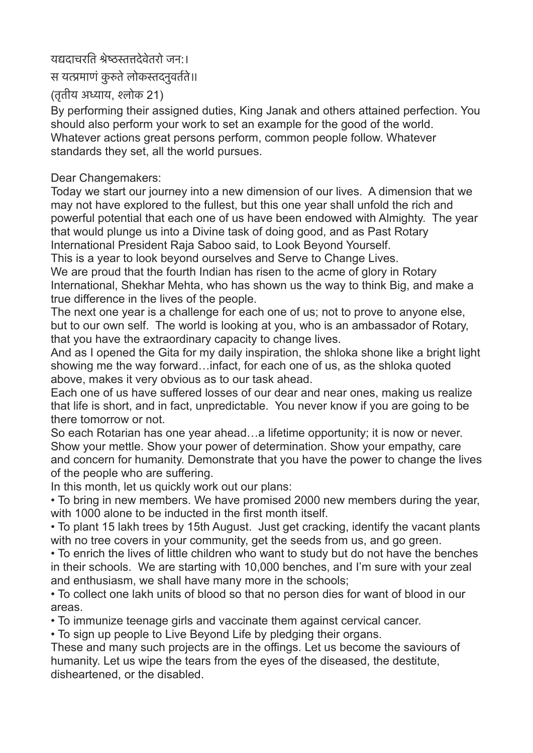## यद्यदाचरति श्रेष्ठस्तत्तदेवेतरो जन:।

स यत्प्रमाणं कुरुते लोकस्तदनुवर्तते॥

(तृतीय अध्याय, श्लोक 21)

By performing their assigned duties, King Janak and others attained perfection. You should also perform your work to set an example for the good of the world. Whatever actions great persons perform, common people follow. Whatever standards they set, all the world pursues.

## Dear Changemakers:

Today we start our journey into a new dimension of our lives. A dimension that we may not have explored to the fullest, but this one year shall unfold the rich and powerful potential that each one of us have been endowed with Almighty. The year that would plunge us into a Divine task of doing good, and as Past Rotary International President Raja Saboo said, to Look Beyond Yourself.

This is a year to look beyond ourselves and Serve to Change Lives.

We are proud that the fourth Indian has risen to the acme of glory in Rotary International, Shekhar Mehta, who has shown us the way to think Big, and make a true difference in the lives of the people.

The next one year is a challenge for each one of us; not to prove to anyone else, but to our own self. The world is looking at you, who is an ambassador of Rotary, that you have the extraordinary capacity to change lives.

And as I opened the Gita for my daily inspiration, the shloka shone like a bright light showing me the way forward…infact, for each one of us, as the shloka quoted above, makes it very obvious as to our task ahead.

Each one of us have suffered losses of our dear and near ones, making us realize that life is short, and in fact, unpredictable. You never know if you are going to be there tomorrow or not.

So each Rotarian has one year ahead…a lifetime opportunity; it is now or never. Show your mettle. Show your power of determination. Show your empathy, care and concern for humanity. Demonstrate that you have the power to change the lives of the people who are suffering.

In this month, let us quickly work out our plans:

• To bring in new members. We have promised 2000 new members during the year, with 1000 alone to be inducted in the first month itself.

• To plant 15 lakh trees by 15th August. Just get cracking, identify the vacant plants with no tree covers in your community, get the seeds from us, and go green.

• To enrich the lives of little children who want to study but do not have the benches in their schools. We are starting with 10,000 benches, and I'm sure with your zeal and enthusiasm, we shall have many more in the schools;

• To collect one lakh units of blood so that no person dies for want of blood in our areas.

• To immunize teenage girls and vaccinate them against cervical cancer.

• To sign up people to Live Beyond Life by pledging their organs.

These and many such projects are in the offings. Let us become the saviours of humanity. Let us wipe the tears from the eyes of the diseased, the destitute, disheartened, or the disabled.